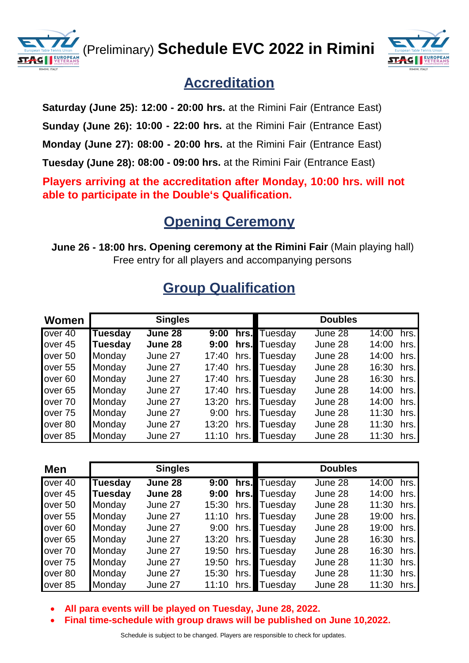

(Preliminary) **Schedule EVC 2022 in Rimini**



## **Accreditation**

**Saturday (June 25): 12:00 - 20:00 hrs.** at the Rimini Fair (Entrance East)

**Sunday (June 26): 10:00 - 22:00 hrs.** at the Rimini Fair (Entrance East)

**Monday (June 27): 08:00 - 20:00 hrs.** at the Rimini Fair (Entrance East)

**Tuesday (June 28): 08:00 - 09:00 hrs.** at the Rimini Fair (Entrance East)

**Players arriving at the accreditation after Monday, 10:00 hrs. will not able to participate in the Double's Qualification.**

## **Opening Ceremony**

**June 26 - 18:00 hrs. Opening ceremony at the Rimini Fair** (Main playing hall) Free entry for all players and accompanying persons

# **Group Qualification**

| <b>Women</b> |                | <b>Singles</b> |       |               |              | <b>Doubles</b> |       |      |
|--------------|----------------|----------------|-------|---------------|--------------|----------------|-------|------|
| over $40$    | <b>Tuesday</b> | June 28        | 9:00  |               | hrs. Tuesday | June 28        | 14:00 | hrs. |
| lover 45     | <b>Tuesday</b> | June 28        | 9:00  |               | hrs. Tuesday | June 28        | 14:00 | hrs. |
| over 50      | Monday         | June 27        | 17:40 | hrs.1         | Tuesday      | June 28        | 14:00 | hrs. |
| lover 55     | Monday         | June 27        | 17:40 | hrs.          | Tuesday      | June 28        | 16:30 | hrs. |
| lover 60     | Monday         | June 27        | 17:40 | hrs. <b>r</b> | Tuesday      | June 28        | 16:30 | hrs. |
| lover 65     | Monday         | June 27        | 17:40 | hrs.          | Tuesday      | June 28        | 14:00 | hrs. |
| over 70      | Monday         | June 27        | 13:20 | hrs.          | Tuesday      | June 28        | 14:00 | hrs. |
| lover 75     | Monday         | June 27        | 9:00  | hrs.          | Tuesday      | June 28        | 11:30 | hrs. |
| lover 80     | Monday         | June 27        | 13:20 | hrs.          | Tuesday      | June 28        | 11:30 | hrs. |
| over 85      | Monday         | June 27        | 11:10 | hrs.          | Tuesday      | June 28        | 11:30 | hrs. |

| <b>Men</b>         |                | <b>Singles</b> |           |      |         | <b>Doubles</b> |       |      |
|--------------------|----------------|----------------|-----------|------|---------|----------------|-------|------|
| over 40            | <b>Tuesday</b> | June 28        | 9:00      | hrs. | Tuesday | June 28        | 14:00 | hrs. |
| over 45            | Tuesday        | June 28        | 9:00      | hrs. | Tuesday | June 28        | 14:00 | hrs. |
| over 50            | Monday         | June 27        | 15:30     | hrs. | Tuesday | June 28        | 11:30 | hrs. |
| over 55            | Monday         | June 27        | 11:10     | hrs. | Tuesday | June 28        | 19:00 | hrs. |
| over 60            | Monday         | June 27        | 9:00 hrs. |      | Tuesday | June 28        | 19:00 | hrs. |
| over <sub>65</sub> | Monday         | June 27        | 13:20     | hrs. | Tuesday | June 28        | 16:30 | hrs. |
| over 70            | Monday         | June 27        | 19:50     | hrs. | Tuesday | June 28        | 16:30 | hrs. |
| over 75            | Monday         | June 27        | 19:50     | hrs. | Tuesday | June 28        | 11:30 | hrs. |
| over 80            | Monday         | June 27        | 15:30     | hrs. | Tuesday | June 28        | 11:30 | hrs. |
| over 85            | Monday         | June 27        | 11:10     | hrs. | Tuesday | June 28        | 11:30 | hrs. |

• **All para events will be played on Tuesday, June 28, 2022.**

• **Final time-schedule with group draws will be published on June 10,2022.**

Schedule is subject to be changed. Players are responsible to check for updates.